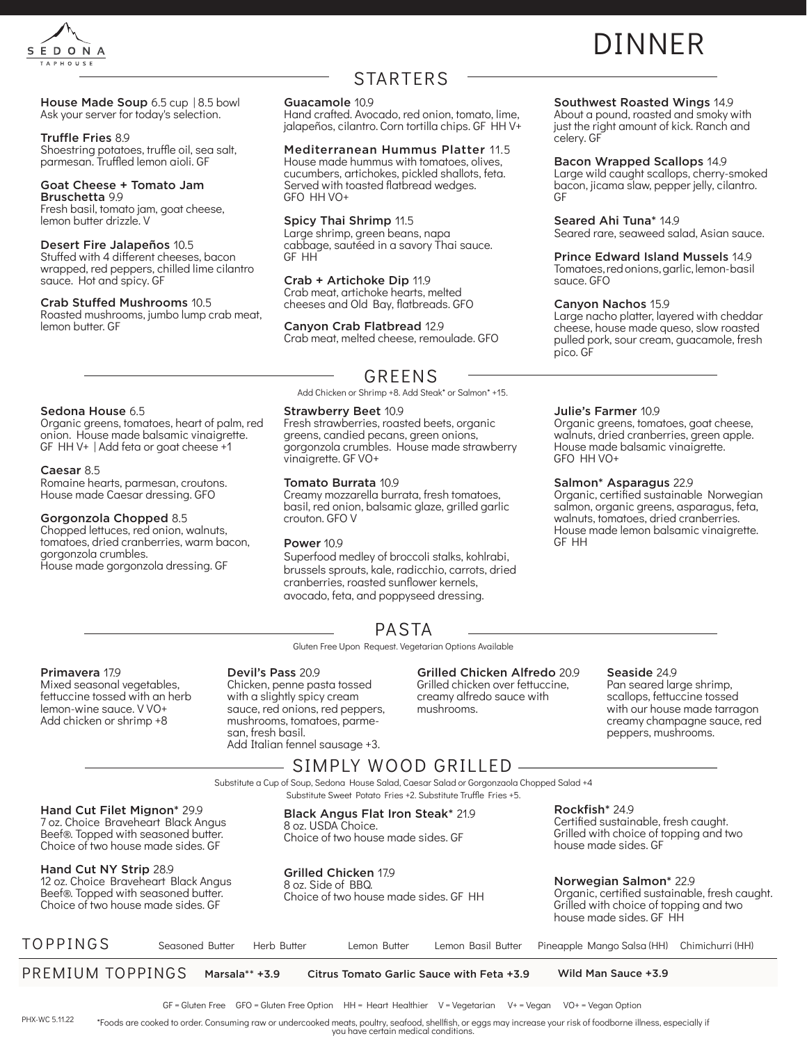

## STARTERS

# DINNER

#### House Made Soup 6.5 cup | 8.5 bowl Ask your server for today's selection.

### Truffle Fries 8.9

Shoestring potatoes, truffle oil, sea salt, parmesan. Truffled lemon aioli. GF

### Goat Cheese + Tomato Jam

Bruschetta 9.9 Fresh basil, tomato jam, goat cheese, lemon butter drizzle. V

### Desert Fire Jalapeños 10.5

Sedona House 6.5

Caesar 8.5

Stuffed with 4 different cheeses, bacon wrapped, red peppers, chilled lime cilantro sauce. Hot and spicy. GF

### Crab Stuffed Mushrooms 10.5

Roasted mushrooms, jumbo lump crab meat, lemon butter. GF

Organic greens, tomatoes, heart of palm, red onion. House made balsamic vinaigrette. GF HH V+ | Add feta or goat cheese +1

Romaine hearts, parmesan, croutons. House made Caesar dressing. GFO

House made gorgonzola dressing. GF

Gorgonzola Chopped 8.5 Chopped lettuces, red onion, walnuts, tomatoes, dried cranberries, warm bacon,

gorgonzola crumbles.

### Guacamole 10.9

Hand crafted. Avocado, red onion, tomato, lime, jalapeños, cilantro. Corn tortilla chips. GF HH V+

### Mediterranean Hummus Platter 11.5

House made hummus with tomatoes, olives, cucumbers, artichokes, pickled shallots, feta. Served with toasted flatbread wedges. GFO HH VO+

### Spicy Thai Shrimp 11.5

Large shrimp, green beans, napa cabbage, sautéed in a savory Thai sauce. GF HH

### Crab + Artichoke Dip 11.9

Crab meat, artichoke hearts, melted cheeses and Old Bay, flatbreads. GFO

### Canyon Crab Flatbread 12.9

Crab meat, melted cheese, remoulade. GFO

### GREENS

Add Chicken or Shrimp +8. Add Steak\* or Salmon\* +15.

### Strawberry Beet 10.9

Fresh strawberries, roasted beets, organic greens, candied pecans, green onions, gorgonzola crumbles. House made strawberry vinaigrette. GF VO+

### Tomato Burrata 10.9

Creamy mozzarella burrata, fresh tomatoes, basil, red onion, balsamic glaze, grilled garlic crouton. GFO V

### Power 10.9

Superfood medley of broccoli stalks, kohlrabi, brussels sprouts, kale, radicchio, carrots, dried cranberries, roasted sunflower kernels, avocado, feta, and poppyseed dressing.

Gluten Free Upon Request. Vegetarian Options Available PASTA

### Southwest Roasted Wings 14.9

About a pound, roasted and smoky with just the right amount of kick. Ranch and celery. GF

#### Bacon Wrapped Scallops 14.9

Large wild caught scallops, cherry-smoked bacon, jicama slaw, pepper jelly, cilantro. GF

### Seared Ahi Tuna\* 14.9

Seared rare, seaweed salad, Asian sauce.

### Prince Edward Island Mussels 14.9

Tomatoes, red onions, garlic, lemon- basil sauce. GFO

### Canyon Nachos 15.9

Large nacho platter, layered with cheddar cheese, house made queso, slow roasted pulled pork, sour cream, guacamole, fresh pico. GF

#### Julie's Farmer 10.9

Organic greens, tomatoes, goat cheese, walnuts, dried cranberries, green apple. House made balsamic vinaigrette. GFO HH VO+

### Salmon\* Asparagus 22.9

Organic, certified sustainable Norwegian salmon, organic greens, asparagus, feta, walnuts, tomatoes, dried cranberries. House made lemon balsamic vinaigrette. GF HH

### Primavera 17.9

Mixed seasonal vegetables, fettuccine tossed with an herb lemon-wine sauce. V VO+ Add chicken or shrimp +8

#### Devil's Pass 20.9 Chicken, penne pasta tossed with a slightly spicy cream sauce, red onions, red peppers, mushrooms, tomatoes, parmesan, fresh basil. Add Italian fennel sausage +3.

### Grilled Chicken Alfredo 20.9

Grilled chicken over fettuccine, creamy alfredo sauce with mushrooms.

### Seaside 24.9

Pan seared large shrimp, scallops, fettuccine tossed with our house made tarragon creamy champagne sauce, red peppers, mushrooms.

### – SIMPLY WOOD GRILLED –

Substitute a Cup of Soup, Sedona House Salad, Caesar Salad or Gorgonzaola Chopped Salad +4 Substitute Sweet Potato Fries +2. Substitute Truffle Fries +5.

Hand Cut Filet Mignon\* 29.9 7 oz. Choice Braveheart Black Angus Beef®. Topped with seasoned butter. Choice of two house made sides. GF

### Hand Cut NY Strip 28.9

12 oz. Choice Braveheart Black Angus Beef®. Topped with seasoned butter. Choice of two house made sides. GF

Black Angus Flat Iron Steak\* 21.9 8 oz. USDA Choice. Choice of two house made sides. GF

### Grilled Chicken 17.9

8 oz. Side of BBQ. Choice of two house made sides. GF HH

## Norwegian Salmon\* 22.9

Certified sustainable, fresh caught. Grilled with choice of topping and two

Rockfish\* 24.9

house made sides. GF

Organic, certified sustainable, fresh caught. Grilled with choice of topping and two house made sides. GF HH

| TOPPINGS         | Seasoned Butter | Herb Butter | Lemon Butter | Lemon Basil Butter                        | Pineapple Mango Salsa (HH) Chimichurri (HH) |  |
|------------------|-----------------|-------------|--------------|-------------------------------------------|---------------------------------------------|--|
| PREMIUM TOPPINGS | Marsala** +3.9  |             |              | Citrus Tomato Garlic Sauce with Feta +3.9 | Wild Man Sauce +3.9                         |  |

GF = Gluten Free GFO = Gluten Free Option HH = Heart Healthier V = Vegetarian V+ = Vegan VO+ = Vegan Option

\*Foods are cooked to order. Consuming raw or undercooked meats, poultry, seafood, shellfish, or eggs may increase your risk of foodborne illness, especially if you have certain medical conditions. PHX-WC 5.11.22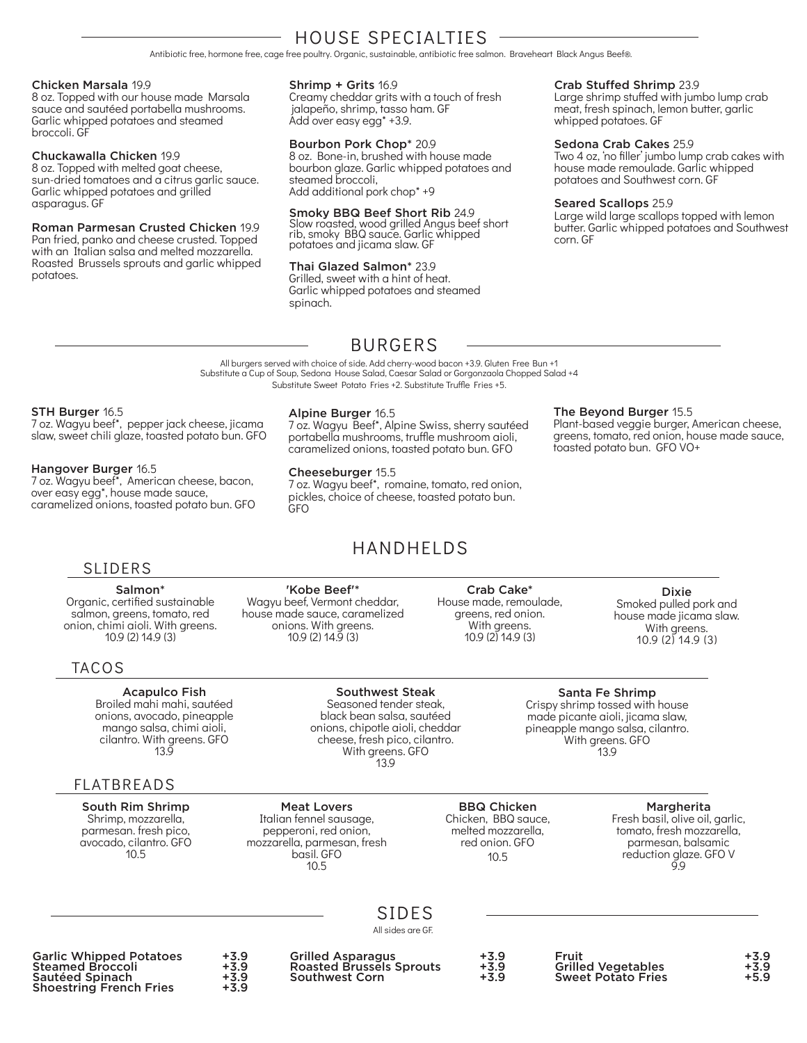## HOUSE SPECIALTIES

Antibiotic free, hormone free, cage free poultry. Organic, sustainable, antibiotic free salmon. Braveheart Black Angus Beef®.

### Chicken Marsala 19.9

8 oz. Topped with our house made Marsala sauce and sautéed portabella mushrooms. Garlic whipped potatoes and steamed broccoli. GF

### Chuckawalla Chicken 19.9

8 oz. Topped with melted goat cheese, sun-dried tomatoes and a citrus garlic sauce. Garlic whipped potatoes and grilled asparagus. GF

#### Roman Parmesan Crusted Chicken 19.9 Pan fried, panko and cheese crusted. Topped with an Italian salsa and melted mozzarella. Roasted Brussels sprouts and garlic whipped potatoes.

### Shrimp + Grits 16.9

Creamy cheddar grits with a touch of fresh jalapeño, shrimp, tasso ham. GF Add over easy egg\* +3.9.

### Bourbon Pork Chop\* 20.9

8 oz. Bone-in, brushed with house made bourbon glaze. Garlic whipped potatoes and steamed broccoli, Add additional pork chop\* +9

### Smoky BBQ Beef Short Rib 24.9

Slow roasted, wood grilled Angus beef short rib, smoky BBQ sauce. Garlic whipped potatoes and jicama slaw. GF

### Thai Glazed Salmon\* 23.9

Grilled, sweet with a hint of heat. Garlic whipped potatoes and steamed spinach.

### Crab Stuffed Shrimp 23.9

Large shrimp stuffed with jumbo lump crab meat, fresh spinach, lemon butter, garlic whipped potatoes. GF

### Sedona Crab Cakes 25.9

Two 4 oz, 'no filler' jumbo lump crab cakes with house made remoulade. Garlic whipped potatoes and Southwest corn. GF

### Seared Scallops 25.9

The Beyond Burger 15.5

toasted potato bun. GFO VO+

Large wild large scallops topped with lemon butter. Garlic whipped potatoes and Southwest corn. GF

Plant-based veggie burger, American cheese, greens, tomato, red onion, house made sauce,

### BURGERS

All burgers served with choice of side. Add cherry-wood bacon +3.9. Gluten Free Bun +1 Substitute a Cup of Soup, Sedona House Salad, Caesar Salad or Gorgonzaola Chopped Salad +4 Substitute Sweet Potato Fries +2. Substitute Truffle Fries +5.

### STH Burger 16.5

7 oz. Wagyu beef\*, pepper jack cheese, jicama slaw, sweet chili glaze, toasted potato bun. GFO

### Hangover Burger 16.5

7 oz. Wagyu beef\*, American cheese, bacon, over easy egg\*, house made sauce, caramelized onions, toasted potato bun. GFO

> Salmon\* Organic, certified sustainable salmon, greens, tomato, red onion, chimi aioli. With greens. 10.9 (2) 14.9 (3)

### Alpine Burger 16.5

7 oz. Wagyu Beef\*, Alpine Swiss, sherry sautéed portabella mushrooms, truffle mushroom aioli, caramelized onions, toasted potato bun. GFO

### Cheeseburger 15.5

7 oz. Wagyu beef\*, romaine, tomato, red onion, pickles, choice of cheese, toasted potato bun. GFO

### HANDHELDS

Southwest Steak Seasoned tender steak, black bean salsa, sautéed

cheese, fresh pico, cilantro. With greens. GFO

'Kobe Beef'\* Wagyu beef, Vermont cheddar, house made sauce, caramelized onions. With greens. 10.9 (2) 14.9 (3)

Crab Cake\* House made, remoulade, greens, red onion. With greens. 10.9 (2) 14.9 (3)

Dixie Smoked pulled pork and house made jicama slaw. With greens. 10.9 (2) 14.9 (3)

### TACOS

SLIDERS

Acapulco Fish Broiled mahi mahi, sautéed onions, avocado, pineapple mango salsa, chimi aioli, cilantro. With greens. GFO 13.9

### FLATBREADS

South Rim Shrimp Shrimp, mozzarella, parmesan. fresh pico, avocado, cilantro. GFO 10.5

13.9 Meat Lovers Italian fennel sausage, pepperoni, red onion, mozzarella, parmesan, fresh

> basil. GFO 10.5

BBQ Chicken Chicken, BBQ sauce, melted mozzarella, red onion. GFO  $10.5$ 

**Margherita** 

Fresh basil, olive oil, garlic, tomato, fresh mozzarella, parmesan, balsamic reduction glaze. GFO V  $\vec{9}$ 

SIDES All sides are GF.

Garlic Whipped Potatoes +3.9 Steamed Broccoli +3.9 Sautéed Spinach Shoestring French Fries

Grilled Asparagus +3.9 Roasted Brussels Sprouts +3.9 Southwest Corn

| L.<br>ς.<br>а |  |
|---------------|--|
| L             |  |

Fruit +3.9 Grilled Vegetables **+3.9 Sweet Potato Fries** 



onions, chipotle aioli, cheddar

Santa Fe Shrimp Crispy shrimp tossed with house made picante aioli, jicama slaw, pineapple mango salsa, cilantro. With greens. GFO 13.9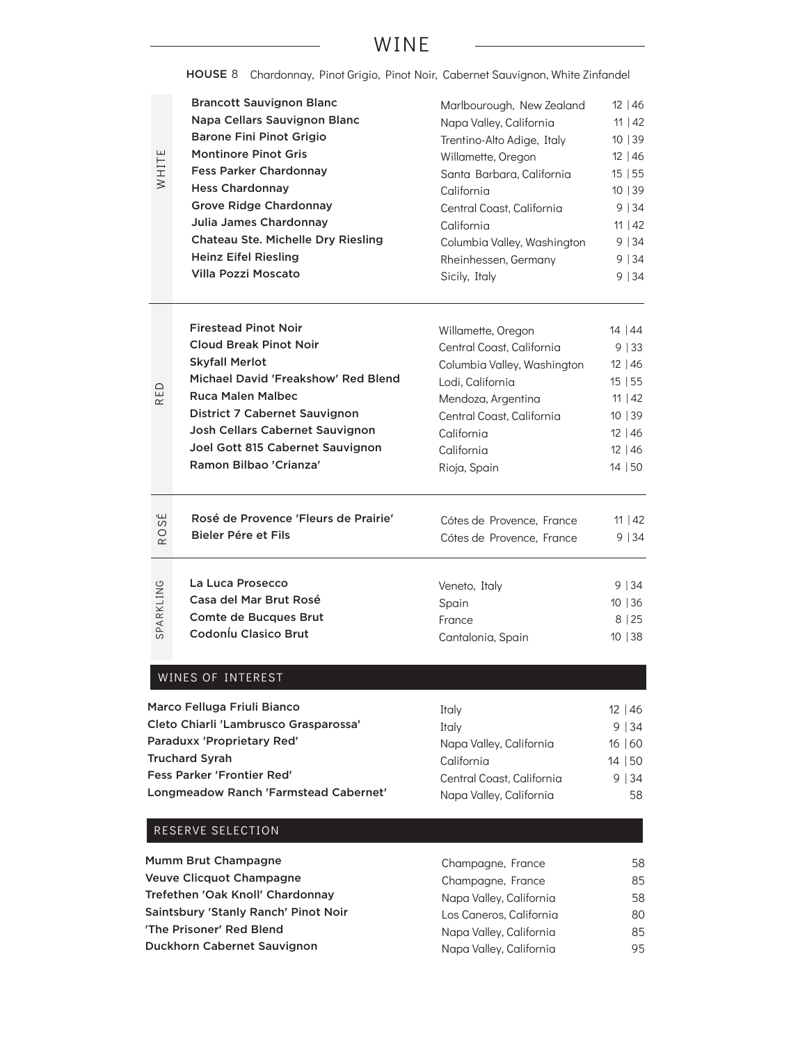### WINE

HOUSE 8 Chardonnay, Pinot Grigio, Pinot Noir, Cabernet Sauvignon, White Zinfandel

|       | <b>Brancott Sauvignon Blanc</b>           | Marlbourough, New Zealand   | $12 \mid 46$ |
|-------|-------------------------------------------|-----------------------------|--------------|
|       | Napa Cellars Sauvignon Blanc              | Napa Valley, California     | 11   42      |
|       | <b>Barone Fini Pinot Grigio</b>           | Trentino-Alto Adige, Italy  | 10 39        |
|       | <b>Montinore Pinot Gris</b>               | Willamette, Oregon          | $12 \mid 46$ |
| WHITE | <b>Fess Parker Chardonnay</b>             | Santa Barbara, California   | 15 55        |
|       | <b>Hess Chardonnay</b>                    | California                  | 10 39        |
|       | <b>Grove Ridge Chardonnay</b>             | Central Coast, California   | 9 34         |
|       | Julia James Chardonnay                    | California                  | 11   42      |
|       | <b>Chateau Ste. Michelle Dry Riesling</b> | Columbia Valley, Washington | 9 34         |
|       | <b>Heinz Eifel Riesling</b>               | Rheinhessen, Germany        | 9 34         |
|       | Villa Pozzi Moscato                       | Sicily, Italy               | 9 34         |
|       |                                           |                             |              |
|       |                                           |                             |              |

| <b>Firestead Pinot Noir</b>         | Willamette, Oregon          | 14   44 |
|-------------------------------------|-----------------------------|---------|
| <b>Cloud Break Pinot Noir</b>       | Central Coast, California   | 9 33    |
| <b>Skyfall Merlot</b>               | Columbia Valley, Washington | 12 46   |
| Michael David 'Freakshow' Red Blend | Lodi, California            | 15 55   |
| <b>Ruca Malen Malbec</b>            | Mendoza, Argentina          | 11   42 |
| District 7 Cabernet Sauvignon       | Central Coast, California   | 10   39 |
| Josh Cellars Cabernet Sauvignon     | California                  | 12 46   |
| Joel Gott 815 Cabernet Sauvignon    | California                  | 12 46   |
| Ramon Bilbao 'Crianza'              | Rioja, Spain                | 14   50 |
|                                     |                             |         |
|                                     |                             |         |

| سا<br>$\omega$      | Rosé de Provence 'Fleurs de Prairie'       | Cótes de Provence, France | $11 \mid 42$ |
|---------------------|--------------------------------------------|---------------------------|--------------|
| $\circ$<br>$\alpha$ | Bieler Pére et Fils                        | Cótes de Provence, France | 9 34         |
| SPARKLING           | La Luca Prosecco<br>Casa del Mar Brut Rosé | Veneto, Italy             | $9 \mid 34$  |
|                     |                                            | Spain                     | 10 36        |
|                     | Comte de Bucques Brut                      | France                    | 8 25         |
|                     | Codoníu Clasico Brut                       | Cantalonia, Spain         | 10   38      |
|                     | <b>WINES OF INTEREST</b>                   |                           |              |
|                     | <b>1arco Felluga Friuli Bianco</b>         | Italy                     | $12 \mid 46$ |
|                     | leto Chiarli 'Lambrusco Grasparossa'.      | Italy                     | 9 34         |
|                     | 'araduxx 'Proprietary Red'                 | Napa Valley, California   | 16 60        |
|                     | ruchard Syrah                              | California                | 14 50        |
|                     | ess Parker 'Frontier Red'                  | Central Coast, California | 9 34         |
|                     | ongmeadow Ranch 'Farmstead Cabernet'       | Napa Valley, California   | 58           |
|                     | RESERVE SELECTION                          |                           |              |

### WINES OF INTEREST

| Marco Felluga Friuli Bianco           | Italy                     | 12 46   |
|---------------------------------------|---------------------------|---------|
| Cleto Chiarli 'Lambrusco Grasparossa' | Italy                     | 9 34    |
| Paraduxx 'Proprietary Red'            | Napa Valley, California   | 16 60   |
| <b>Truchard Syrah</b>                 | California                | 14   50 |
| <b>Fess Parker 'Frontier Red'</b>     | Central Coast, California | 9 34    |
| Longmeadow Ranch 'Farmstead Cabernet' | Napa Valley, California   | 58      |

| Champagne, France       | 58 |
|-------------------------|----|
| Champagne, France       | 85 |
| Napa Valley, California | 58 |
| Los Caneros, California | 80 |
| Napa Valley, California | 85 |
| Napa Valley, California | 95 |
|                         |    |